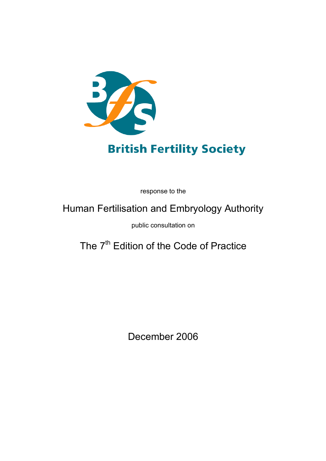

# **British Fertility Society**

response to the

# Human Fertilisation and Embryology Authority

public consultation on

The 7<sup>th</sup> Edition of the Code of Practice

December 2006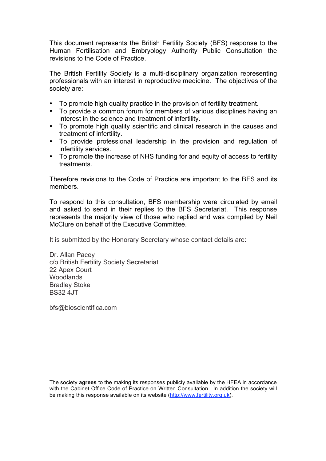This document represents the British Fertility Society (BFS) response to the Human Fertilisation and Embryology Authority Public Consultation the revisions to the Code of Practice.

The British Fertility Society is a multi-disciplinary organization representing professionals with an interest in reproductive medicine. The objectives of the society are:

- To promote high quality practice in the provision of fertility treatment.
- To provide a common forum for members of various disciplines having an interest in the science and treatment of infertility.
- To promote high quality scientific and clinical research in the causes and treatment of infertility.
- To provide professional leadership in the provision and regulation of infertility services.
- To promote the increase of NHS funding for and equity of access to fertility treatments.

Therefore revisions to the Code of Practice are important to the BFS and its members.

To respond to this consultation, BFS membership were circulated by email and asked to send in their replies to the BFS Secretariat. This response represents the majority view of those who replied and was compiled by Neil McClure on behalf of the Executive Committee.

It is submitted by the Honorary Secretary whose contact details are:

Dr. Allan Pacey c/o British Fertility Society Secretariat 22 Apex Court **Woodlands** Bradley Stoke BS32 4JT

bfs@bioscientifica.com

The society **agrees** to the making its responses publicly available by the HFEA in accordance with the Cabinet Office Code of Practice on Written Consultation. In addition the society will be making this response available on its website (http://www.fertility.org.uk).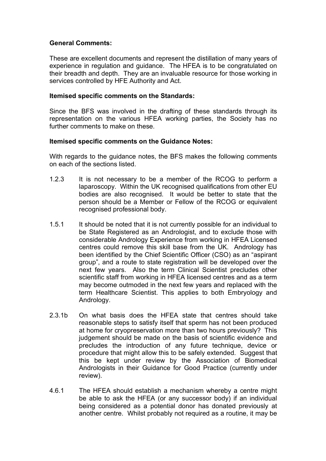## **General Comments:**

These are excellent documents and represent the distillation of many years of experience in regulation and guidance. The HFEA is to be congratulated on their breadth and depth. They are an invaluable resource for those working in services controlled by HFE Authority and Act.

### **Itemised specific comments on the Standards:**

Since the BFS was involved in the drafting of these standards through its representation on the various HFEA working parties, the Society has no further comments to make on these.

#### **Itemised specific comments on the Guidance Notes:**

With regards to the guidance notes, the BFS makes the following comments on each of the sections listed.

- 1.2.3 It is not necessary to be a member of the RCOG to perform a laparoscopy. Within the UK recognised qualifications from other EU bodies are also recognised. It would be better to state that the person should be a Member or Fellow of the RCOG or equivalent recognised professional body.
- 1.5.1 It should be noted that it is not currently possible for an individual to be State Registered as an Andrologist, and to exclude those with considerable Andrology Experience from working in HFEA Licensed centres could remove this skill base from the UK. Andrology has been identified by the Chief Scientific Officer (CSO) as an "aspirant group", and a route to state registration will be developed over the next few years. Also the term Clinical Scientist precludes other scientific staff from working in HFEA licensed centres and as a term may become outmoded in the next few years and replaced with the term Healthcare Scientist. This applies to both Embryology and Andrology.
- 2.3.1b On what basis does the HFEA state that centres should take reasonable steps to satisfy itself that sperm has not been produced at home for cryopreservation more than two hours previously? This judgement should be made on the basis of scientific evidence and precludes the introduction of any future technique, device or procedure that might allow this to be safely extended. Suggest that this be kept under review by the Association of Biomedical Andrologists in their Guidance for Good Practice (currently under review).
- 4.6.1 The HFEA should establish a mechanism whereby a centre might be able to ask the HFEA (or any successor body) if an individual being considered as a potential donor has donated previously at another centre. Whilst probably not required as a routine, it may be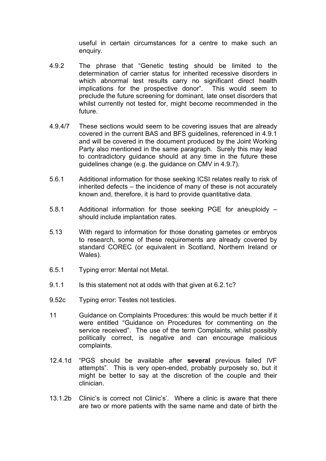useful in certain circumstances for a centre to make such an enquiry.

- 4.9.2 The phrase that "Genetic testing should be limited to the determination of carrier status for inherited recessive disorders in which abnormal test results carry no significant direct health implications for the prospective donor". This would seem to preclude the future screening for dominant, late onset disorders that whilst currently not tested for, might become recommended in the future.
- 4.9.4/7 These sections would seem to be covering issues that are already covered in the current BAS and BFS guidelines, referenced in 4.9.1 and will be covered in the document produced by the Joint Working Party also mentioned in the same paragraph. Surely this may lead to contradictory guidance should at any time in the future these guidelines change (e.g. the guidance on CMV in 4.9.7).
- 5.6.1 Additional information for those seeking ICSI relates really to risk of inherited defects – the incidence of many of these is not accurately known and, therefore, it is hard to provide quantitative data.
- 5.8.1 Additional information for those seeking PGE for aneuploidy should include implantation rates.
- 5.13 With regard to information for those donating gametes or embryos to research, some of these requirements are already covered by standard COREC (or equivalent in Scotland, Northern Ireland or Wales).
- 6.5.1 Typing error: Mental not Metal.
- 9.1.1 Is this statement not at odds with that given at 6.2.1c?
- 9.52c Typing error: Testes not testicles.
- 11 Guidance on Complaints Procedures: this would be much better if it were entitled "Guidance on Procedures for commenting on the service received". The use of the term Complaints, whilst possibly politically correct, is negative and can encourage malicious complaints.
- 12.4.1d "PGS should be available after **several** previous failed IVF attempts". This is very open-ended, probably purposely so, but it might be better to say at the discretion of the couple and their clinician.
- 13.1.2b Clinic's is correct not Clinic's'. Where a clinic is aware that there are two or more patients with the same name and date of birth the